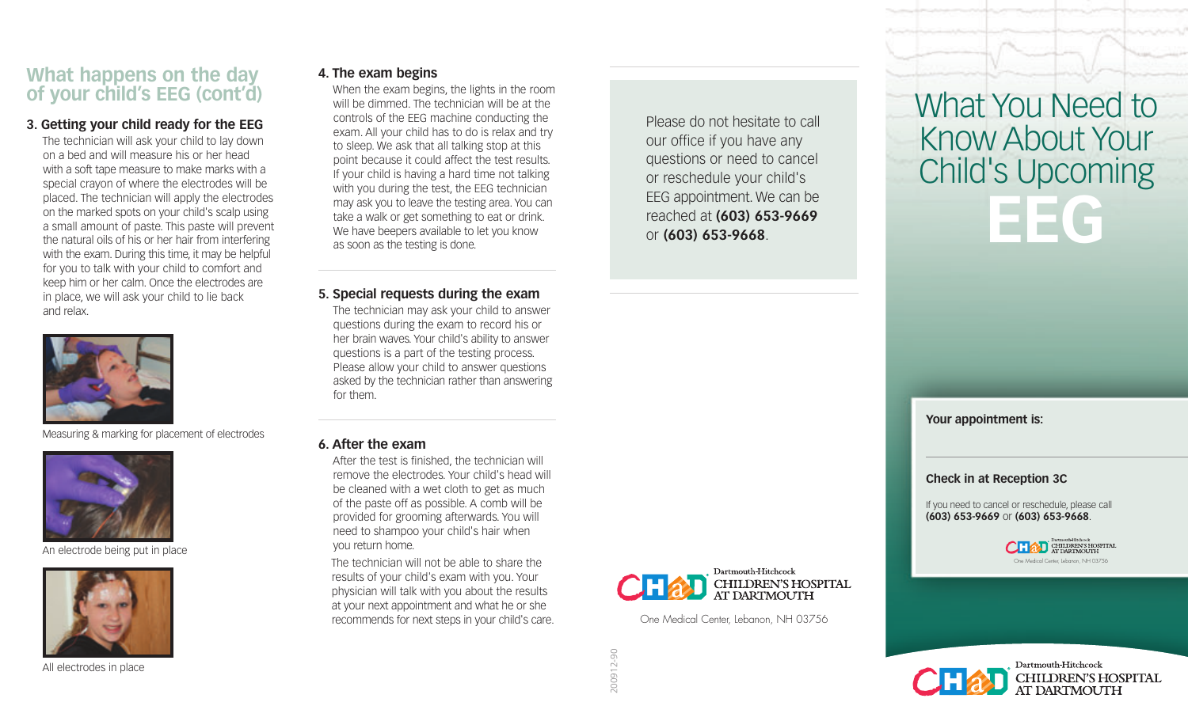## **What happens on the day of your child's EEG (cont'd)**

#### **3. Getting your child ready for the EEG**

The technician will ask your child to lay down on a bed and will measure his or her head with a soft tape measure to make marks with a special crayon of where the electrodes will be placed. The technician will apply the electrodes on the marked spots on your child's scalp using a small amount of paste. This paste will prevent the natural oils of his or her hair from interfering with the exam. During this time, it may be helpful for you to talk with your child to comfort and keep him or her calm. Once the electrodes are in place, we will ask your child to lie back and relax.



Measuring & marking for placement of electrodes



An electrode being put in place



All electrodes in place

**4. The exam begins**

When the exam begins, the lights in the room will be dimmed. The technician will be at the controls of the EEG machine conducting the exam. All your child has to do is relax and try to sleep. We ask that all talking stop at this point because it could affect the test results. If your child is having a hard time not talking with you during the test, the EEG technician may ask you to leave the testing area. You can take a walk or get something to eat or drink. We have beepers available to let you know as soon as the testing is done.

**5. Special requests during the exam**

The technician may ask your child to answer questions during the exam to record his or her brain waves. Your child's ability to answer questions is a part of the testing process. Please allow your child to answer questions asked by the technician rather than answering for them.

#### **6. After the exam**

After the test is finished, the technician will remove the electrodes. Your child's head will be cleaned with a wet cloth to get as much of the paste off as possible. A comb will be provided for grooming afterwards. You will need to shampoo your child's hair when you return home.

The technician will not be able to share the results of your child's exam with you. Your physician will talk with you about the results at your next appointment and what he or she recommends for next steps in your child's care.

Please do not hesitate to call our office if you have any questions or need to cancel or reschedule your child's EEG appointment. We can be reached at **(603) 653-9669**  or **(603) 653-9668**.



One Medical Center, Lebanon, NH 03756

# What You Need to Know About Your Child's Upcoming **EEG**

**Your appointment is:**

#### **Check in at Reception 3C**

If you need to cancel or reschedule, please call **(603) 653-9669** or **(603) 653-9668**.





CHILDREN'S HOSPITAL<br>AT DARTMOUTH